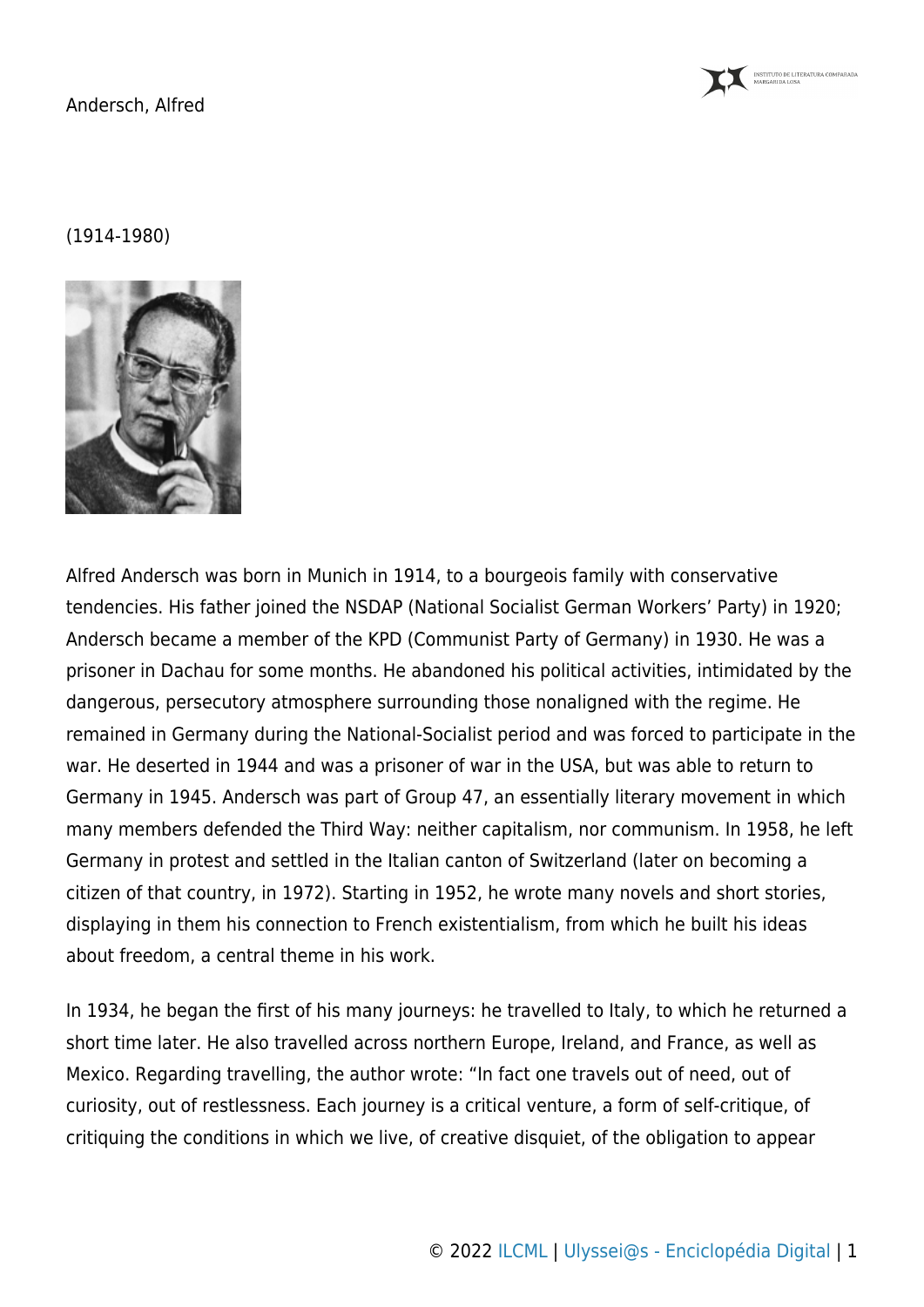

## (1914-1980)



Alfred Andersch was born in Munich in 1914, to a bourgeois family with conservative tendencies. His father joined the NSDAP (National Socialist German Workers' Party) in 1920; Andersch became a member of the KPD (Communist Party of Germany) in 1930. He was a prisoner in Dachau for some months. He abandoned his political activities, intimidated by the dangerous, persecutory atmosphere surrounding those nonaligned with the regime. He remained in Germany during the National-Socialist period and was forced to participate in the war. He deserted in 1944 and was a prisoner of war in the USA, but was able to return to Germany in 1945. Andersch was part of Group 47, an essentially literary movement in which many members defended the Third Way: neither capitalism, nor communism. In 1958, he left Germany in protest and settled in the Italian canton of Switzerland (later on becoming a citizen of that country, in 1972). Starting in 1952, he wrote many novels and short stories, displaying in them his connection to French existentialism, from which he built his ideas about freedom, a central theme in his work.

In 1934, he began the first of his many journeys: he travelled to Italy, to which he returned a short time later. He also travelled across northern Europe, Ireland, and France, as well as Mexico. Regarding travelling, the author wrote: "In fact one travels out of need, out of curiosity, out of restlessness. Each journey is a critical venture, a form of self-critique, of critiquing the conditions in which we live, of creative disquiet, of the obligation to appear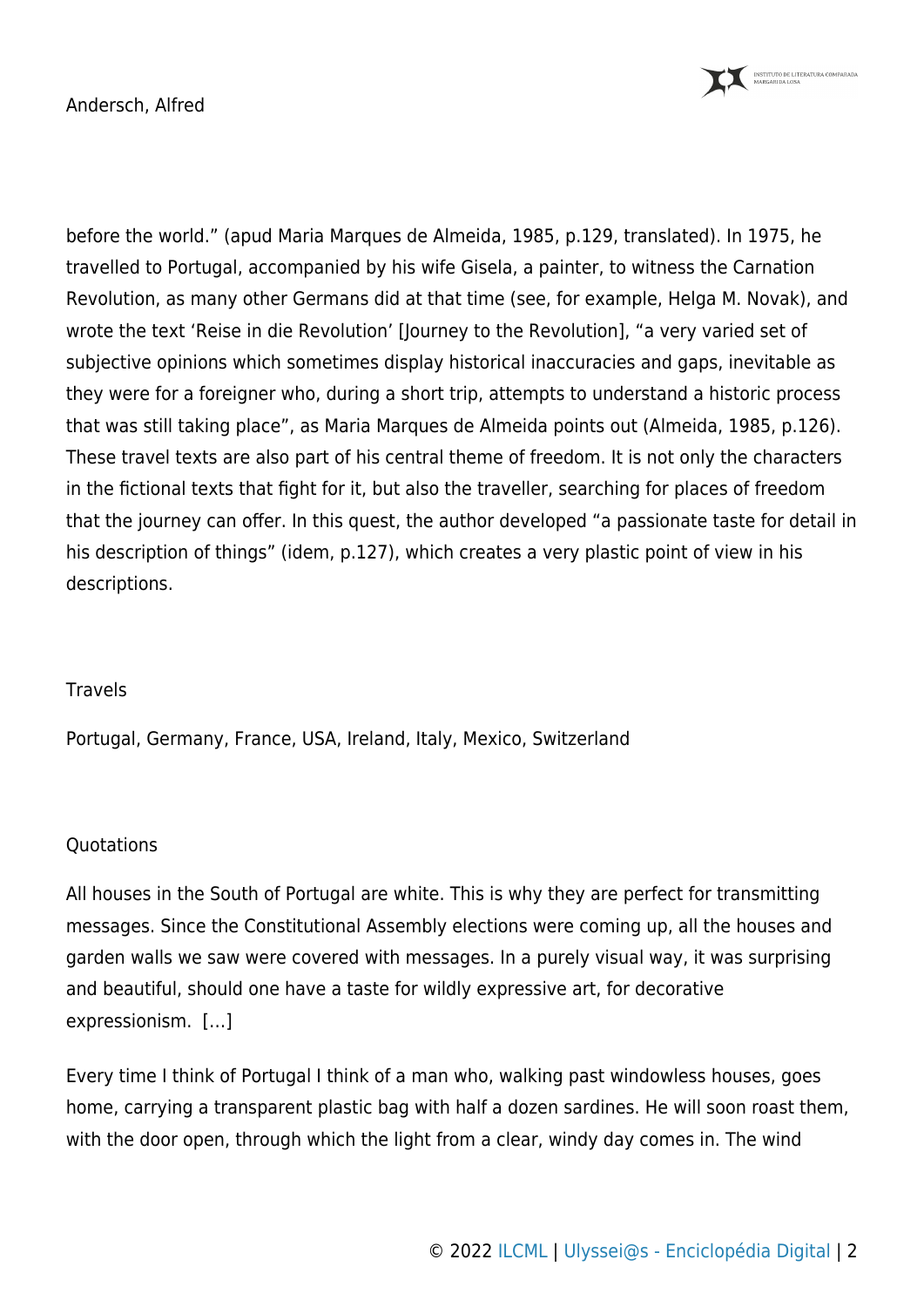

before the world." (apud Maria Marques de Almeida, 1985, p.129, translated). In 1975, he travelled to Portugal, accompanied by his wife Gisela, a painter, to witness the Carnation Revolution, as many other Germans did at that time (see, for example, Helga M. Novak), and wrote the text 'Reise in die Revolution' [Journey to the Revolution], "a very varied set of subjective opinions which sometimes display historical inaccuracies and gaps, inevitable as they were for a foreigner who, during a short trip, attempts to understand a historic process that was still taking place", as Maria Marques de Almeida points out (Almeida, 1985, p.126). These travel texts are also part of his central theme of freedom. It is not only the characters in the fictional texts that fight for it, but also the traveller, searching for places of freedom that the journey can offer. In this quest, the author developed "a passionate taste for detail in his description of things" (idem, p.127), which creates a very plastic point of view in his descriptions.

# **Travels**

Portugal, Germany, France, USA, Ireland, Italy, Mexico, Switzerland

### **Ouotations**

All houses in the South of Portugal are white. This is why they are perfect for transmitting messages. Since the Constitutional Assembly elections were coming up, all the houses and garden walls we saw were covered with messages. In a purely visual way, it was surprising and beautiful, should one have a taste for wildly expressive art, for decorative expressionism. […]

Every time I think of Portugal I think of a man who, walking past windowless houses, goes home, carrying a transparent plastic bag with half a dozen sardines. He will soon roast them, with the door open, through which the light from a clear, windy day comes in. The wind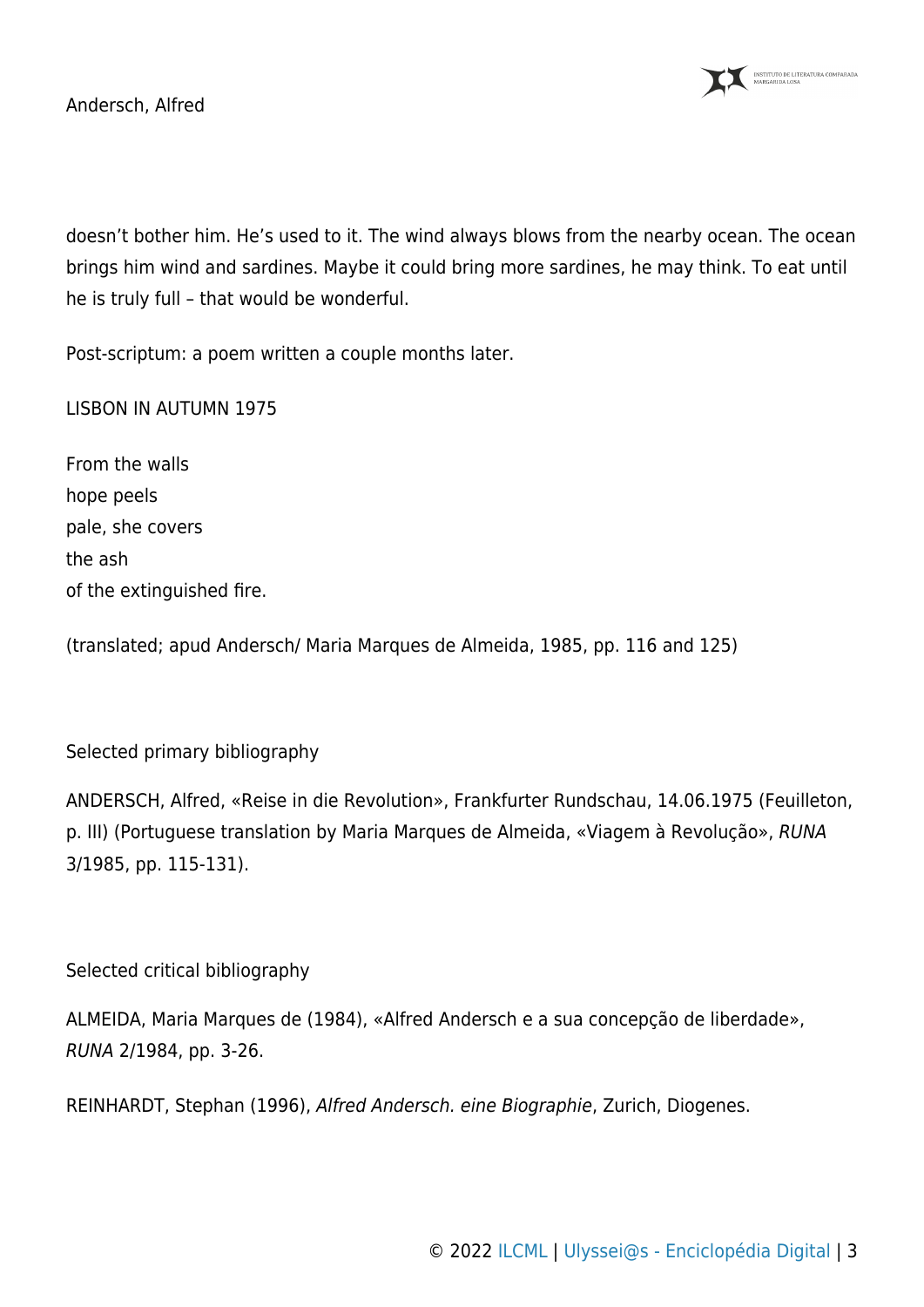

doesn't bother him. He's used to it. The wind always blows from the nearby ocean. The ocean brings him wind and sardines. Maybe it could bring more sardines, he may think. To eat until he is truly full – that would be wonderful.

Post-scriptum: a poem written a couple months later.

LISBON IN AUTUMN 1975

From the walls hope peels pale, she covers the ash of the extinguished fire.

(translated; apud Andersch/ Maria Marques de Almeida, 1985, pp. 116 and 125)

### Selected primary bibliography

ANDERSCH, Alfred, «Reise in die Revolution», Frankfurter Rundschau, 14.06.1975 (Feuilleton, p. III) (Portuguese translation by Maria Marques de Almeida, «Viagem à Revolução», RUNA 3/1985, pp. 115-131).

### Selected critical bibliography

ALMEIDA, Maria Marques de (1984), «Alfred Andersch e a sua concepção de liberdade», RUNA 2/1984, pp. 3-26.

REINHARDT, Stephan (1996), Alfred Andersch. eine Biographie, Zurich, Diogenes.